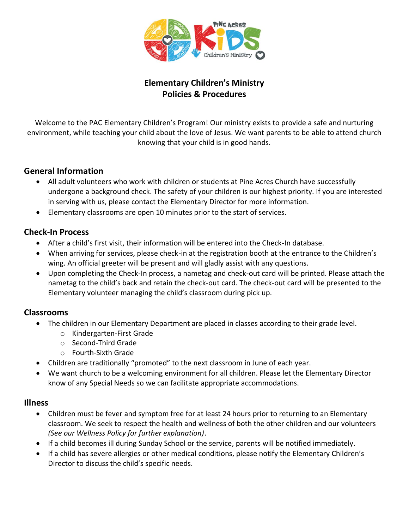

# **Elementary Children's Ministry Policies & Procedures**

Welcome to the PAC Elementary Children's Program! Our ministry exists to provide a safe and nurturing environment, while teaching your child about the love of Jesus. We want parents to be able to attend church knowing that your child is in good hands.

### **General Information**

- All adult volunteers who work with children or students at Pine Acres Church have successfully undergone a background check. The safety of your children is our highest priority. If you are interested in serving with us, please contact the Elementary Director for more information.
- Elementary classrooms are open 10 minutes prior to the start of services.

### **Check-In Process**

- After a child's first visit, their information will be entered into the Check-In database.
- When arriving for services, please check-in at the registration booth at the entrance to the Children's wing. An official greeter will be present and will gladly assist with any questions.
- Upon completing the Check-In process, a nametag and check-out card will be printed. Please attach the nametag to the child's back and retain the check-out card. The check-out card will be presented to the Elementary volunteer managing the child's classroom during pick up.

### **Classrooms**

- The children in our Elementary Department are placed in classes according to their grade level.
	- o Kindergarten-First Grade
	- o Second-Third Grade
	- o Fourth-Sixth Grade
- Children are traditionally "promoted" to the next classroom in June of each year.
- We want church to be a welcoming environment for all children. Please let the Elementary Director know of any Special Needs so we can facilitate appropriate accommodations.

### **Illness**

- Children must be fever and symptom free for at least 24 hours prior to returning to an Elementary classroom. We seek to respect the health and wellness of both the other children and our volunteers *(See our Wellness Policy for further explanation)*.
- If a child becomes ill during Sunday School or the service, parents will be notified immediately.
- If a child has severe allergies or other medical conditions, please notify the Elementary Children's Director to discuss the child's specific needs.